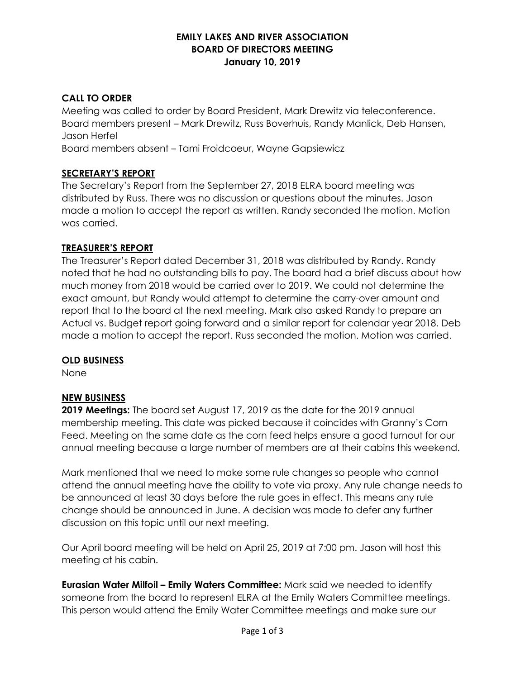#### **EMILY LAKES AND RIVER ASSOCIATION BOARD OF DIRECTORS MEETING January 10, 2019**

## **CALL TO ORDER**

Meeting was called to order by Board President, Mark Drewitz via teleconference. Board members present – Mark Drewitz, Russ Boverhuis, Randy Manlick, Deb Hansen, Jason Herfel

Board members absent – Tami Froidcoeur, Wayne Gapsiewicz

## **SECRETARY'S REPORT**

The Secretary's Report from the September 27, 2018 ELRA board meeting was distributed by Russ. There was no discussion or questions about the minutes. Jason made a motion to accept the report as written. Randy seconded the motion. Motion was carried.

#### **TREASURER'S REPORT**

The Treasurer's Report dated December 31, 2018 was distributed by Randy. Randy noted that he had no outstanding bills to pay. The board had a brief discuss about how much money from 2018 would be carried over to 2019. We could not determine the exact amount, but Randy would attempt to determine the carry-over amount and report that to the board at the next meeting. Mark also asked Randy to prepare an Actual vs. Budget report going forward and a similar report for calendar year 2018. Deb made a motion to accept the report. Russ seconded the motion. Motion was carried.

#### **OLD BUSINESS**

None

#### **NEW BUSINESS**

**2019 Meetings:** The board set August 17, 2019 as the date for the 2019 annual membership meeting. This date was picked because it coincides with Granny's Corn Feed. Meeting on the same date as the corn feed helps ensure a good turnout for our annual meeting because a large number of members are at their cabins this weekend.

Mark mentioned that we need to make some rule changes so people who cannot attend the annual meeting have the ability to vote via proxy. Any rule change needs to be announced at least 30 days before the rule goes in effect. This means any rule change should be announced in June. A decision was made to defer any further discussion on this topic until our next meeting.

Our April board meeting will be held on April 25, 2019 at 7:00 pm. Jason will host this meeting at his cabin.

**Eurasian Water Milfoil – Emily Waters Committee:** Mark said we needed to identify someone from the board to represent ELRA at the Emily Waters Committee meetings. This person would attend the Emily Water Committee meetings and make sure our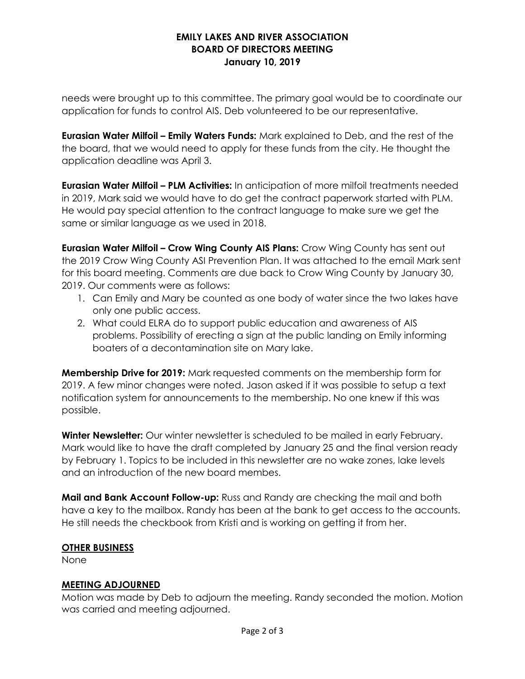#### **EMILY LAKES AND RIVER ASSOCIATION BOARD OF DIRECTORS MEETING January 10, 2019**

needs were brought up to this committee. The primary goal would be to coordinate our application for funds to control AIS. Deb volunteered to be our representative.

**Eurasian Water Milfoil – Emily Waters Funds:** Mark explained to Deb, and the rest of the the board, that we would need to apply for these funds from the city. He thought the application deadline was April 3.

**Eurasian Water Milfoil – PLM Activities:** In anticipation of more milfoil treatments needed in 2019, Mark said we would have to do get the contract paperwork started with PLM. He would pay special attention to the contract language to make sure we get the same or similar language as we used in 2018.

**Eurasian Water Milfoil – Crow Wing County AIS Plans:** Crow Wing County has sent out the 2019 Crow Wing County ASI Prevention Plan. It was attached to the email Mark sent for this board meeting. Comments are due back to Crow Wing County by January 30, 2019. Our comments were as follows:

- 1. Can Emily and Mary be counted as one body of water since the two lakes have only one public access.
- 2. What could ELRA do to support public education and awareness of AIS problems. Possibility of erecting a sign at the public landing on Emily informing boaters of a decontamination site on Mary lake.

**Membership Drive for 2019:** Mark requested comments on the membership form for 2019. A few minor changes were noted. Jason asked if it was possible to setup a text notification system for announcements to the membership. No one knew if this was possible.

**Winter Newsletter:** Our winter newsletter is scheduled to be mailed in early February. Mark would like to have the draft completed by January 25 and the final version ready by February 1. Topics to be included in this newsletter are no wake zones, lake levels and an introduction of the new board membes.

**Mail and Bank Account Follow-up:** Russ and Randy are checking the mail and both have a key to the mailbox. Randy has been at the bank to get access to the accounts. He still needs the checkbook from Kristi and is working on getting it from her.

#### **OTHER BUSINESS**

None

## **MEETING ADJOURNED**

Motion was made by Deb to adjourn the meeting. Randy seconded the motion. Motion was carried and meeting adjourned.